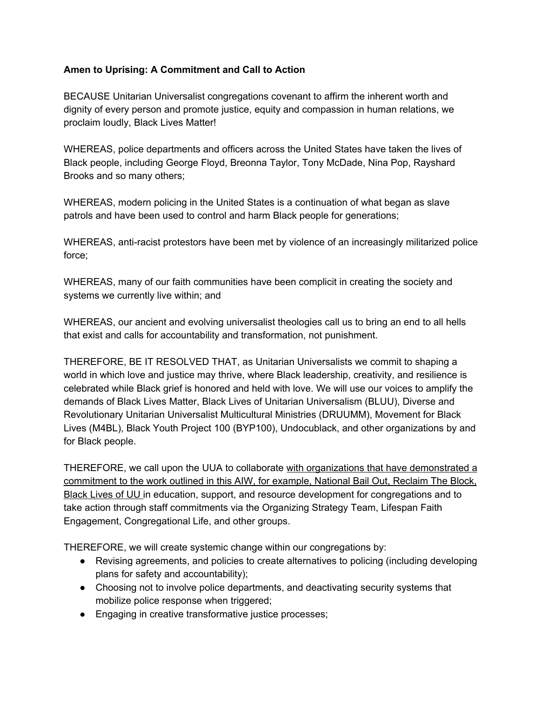## **Amen to Uprising: A Commitment and Call to Action**

BECAUSE Unitarian Universalist congregations covenant to affirm the inherent worth and dignity of every person and promote justice, equity and compassion in human relations, we proclaim loudly, Black Lives Matter!

WHEREAS, police departments and officers across the United States have taken the lives of Black people, including George Floyd, Breonna Taylor, Tony McDade, Nina Pop, Rayshard Brooks and so many others;

WHEREAS, modern policing in the United States is a continuation of what began as slave patrols and have been used to control and harm Black people for generations;

WHEREAS, anti-racist protestors have been met by violence of an increasingly militarized police force;

WHEREAS, many of our faith communities have been complicit in creating the society and systems we currently live within; and

WHEREAS, our ancient and evolving universalist theologies call us to bring an end to all hells that exist and calls for accountability and transformation, not punishment.

THEREFORE, BE IT RESOLVED THAT, as Unitarian Universalists we commit to shaping a world in which love and justice may thrive, where Black leadership, creativity, and resilience is celebrated while Black grief is honored and held with love. We will use our voices to amplify the demands of Black Lives Matter, Black Lives of Unitarian Universalism (BLUU), Diverse and Revolutionary Unitarian Universalist Multicultural Ministries (DRUUMM), Movement for Black Lives (M4BL), Black Youth Project 100 (BYP100), Undocublack, and other organizations by and for Black people.

THEREFORE, we call upon the UUA to collaborate with organizations that have demonstrated a commitment to the work outlined in this AIW, for example, National Bail Out, Reclaim The Block, Black Lives of UU in education, support, and resource development for congregations and to take action through staff commitments via the Organizing Strategy Team, Lifespan Faith Engagement, Congregational Life, and other groups.

THEREFORE, we will create systemic change within our congregations by:

- Revising agreements, and policies to create alternatives to policing (including developing plans for safety and accountability);
- Choosing not to involve police departments, and deactivating security systems that mobilize police response when triggered;
- Engaging in creative transformative justice processes;